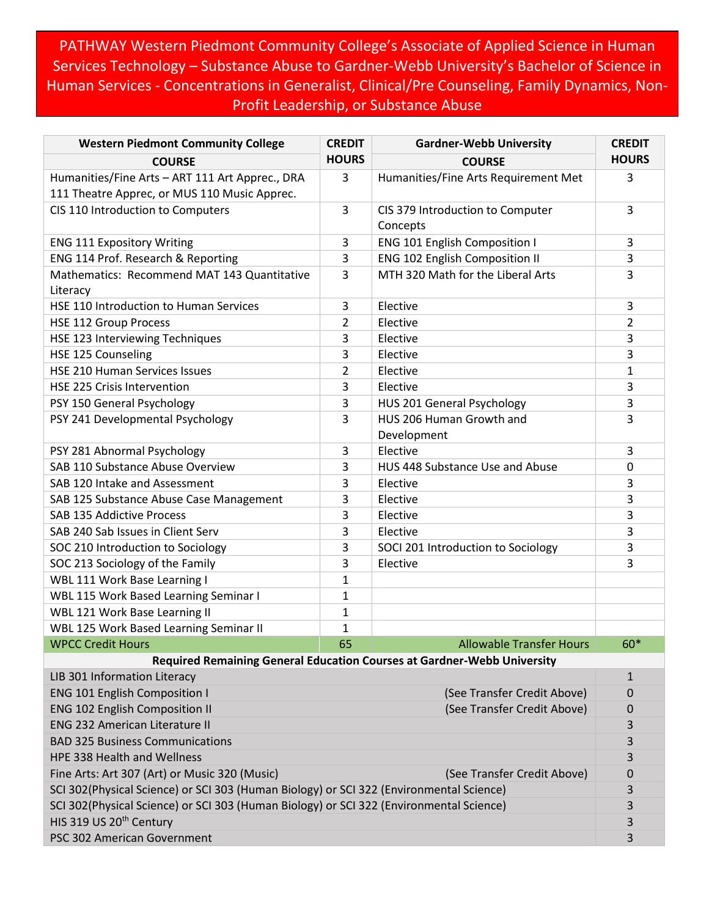PATHWAY Western Piedmont Community College's Associate of Applied Science in Human Services Technology – Substance Abuse to Gardner-Webb University's Bachelor of Science in Human Services - Concentrations in Generalist, Clinical/Pre Counseling, Family Dynamics, Non-Profit Leadership, or Substance Abuse

| <b>Western Piedmont Community College</b>                                                       | <b>CREDIT</b> | <b>Gardner-Webb University</b>               | <b>CREDIT</b>    |
|-------------------------------------------------------------------------------------------------|---------------|----------------------------------------------|------------------|
| <b>COURSE</b>                                                                                   | <b>HOURS</b>  | <b>COURSE</b>                                | <b>HOURS</b>     |
| Humanities/Fine Arts - ART 111 Art Apprec., DRA<br>111 Theatre Apprec, or MUS 110 Music Apprec. | 3             | Humanities/Fine Arts Requirement Met         | 3                |
| CIS 110 Introduction to Computers                                                               | 3             | CIS 379 Introduction to Computer<br>Concepts | 3                |
| <b>ENG 111 Expository Writing</b>                                                               | 3             | <b>ENG 101 English Composition I</b>         | 3                |
| ENG 114 Prof. Research & Reporting                                                              | 3             | ENG 102 English Composition II               | 3                |
| Mathematics: Recommend MAT 143 Quantitative                                                     | 3             | MTH 320 Math for the Liberal Arts            | 3                |
| Literacy                                                                                        |               |                                              |                  |
| HSE 110 Introduction to Human Services                                                          | 3             | Elective                                     | 3                |
| <b>HSE 112 Group Process</b>                                                                    | 2             | Elective                                     | $\overline{2}$   |
| HSE 123 Interviewing Techniques                                                                 | 3             | Elective                                     | 3                |
| HSE 125 Counseling                                                                              | 3             | Elective                                     | 3                |
| HSE 210 Human Services Issues                                                                   | 2             | Elective                                     | 1                |
| HSE 225 Crisis Intervention                                                                     | 3             | Elective                                     | 3                |
| PSY 150 General Psychology                                                                      | 3             | HUS 201 General Psychology                   | 3                |
| PSY 241 Developmental Psychology                                                                | 3             | HUS 206 Human Growth and<br>Development      | 3                |
| PSY 281 Abnormal Psychology                                                                     | 3             | Elective                                     | 3                |
| SAB 110 Substance Abuse Overview                                                                | 3             | HUS 448 Substance Use and Abuse              | $\boldsymbol{0}$ |
| SAB 120 Intake and Assessment                                                                   | 3             | Elective                                     | 3                |
| SAB 125 Substance Abuse Case Management                                                         | 3             | Elective                                     | 3                |
| SAB 135 Addictive Process                                                                       | 3             | Elective                                     | 3                |
| SAB 240 Sab Issues in Client Serv                                                               | 3             | Elective                                     | 3                |
| SOC 210 Introduction to Sociology                                                               | 3             | SOCI 201 Introduction to Sociology           | 3                |
| SOC 213 Sociology of the Family                                                                 | 3             | Elective                                     | 3                |
| WBL 111 Work Base Learning I                                                                    | $\mathbf{1}$  |                                              |                  |
| WBL 115 Work Based Learning Seminar I                                                           | $\mathbf{1}$  |                                              |                  |
| WBL 121 Work Base Learning II                                                                   | 1             |                                              |                  |
| WBL 125 Work Based Learning Seminar II                                                          | $\mathbf{1}$  |                                              |                  |
| <b>WPCC Credit Hours</b>                                                                        | 65            | <b>Allowable Transfer Hours</b>              | 60*              |
| Required Remaining General Education Courses at Gardner-Webb University                         |               |                                              |                  |
| LIB 301 Information Literacy                                                                    |               |                                              | $\mathbf{1}$     |
| <b>ENG 101 English Composition I</b>                                                            |               | (See Transfer Credit Above)                  | 0                |
| <b>ENG 102 English Composition II</b>                                                           |               | (See Transfer Credit Above)                  | 0                |
| <b>ENG 232 American Literature II</b>                                                           |               |                                              | 3                |
| <b>BAD 325 Business Communications</b>                                                          |               |                                              | 3                |
| HPE 338 Health and Wellness                                                                     |               |                                              | 3                |
| Fine Arts: Art 307 (Art) or Music 320 (Music)<br>(See Transfer Credit Above)                    |               |                                              | 0                |
| SCI 302(Physical Science) or SCI 303 (Human Biology) or SCI 322 (Environmental Science)         |               |                                              | 3                |
| SCI 302(Physical Science) or SCI 303 (Human Biology) or SCI 322 (Environmental Science)         |               |                                              | 3                |
| HIS 319 US 20 <sup>th</sup> Century                                                             |               |                                              | 3                |
| PSC 302 American Government                                                                     |               |                                              | 3                |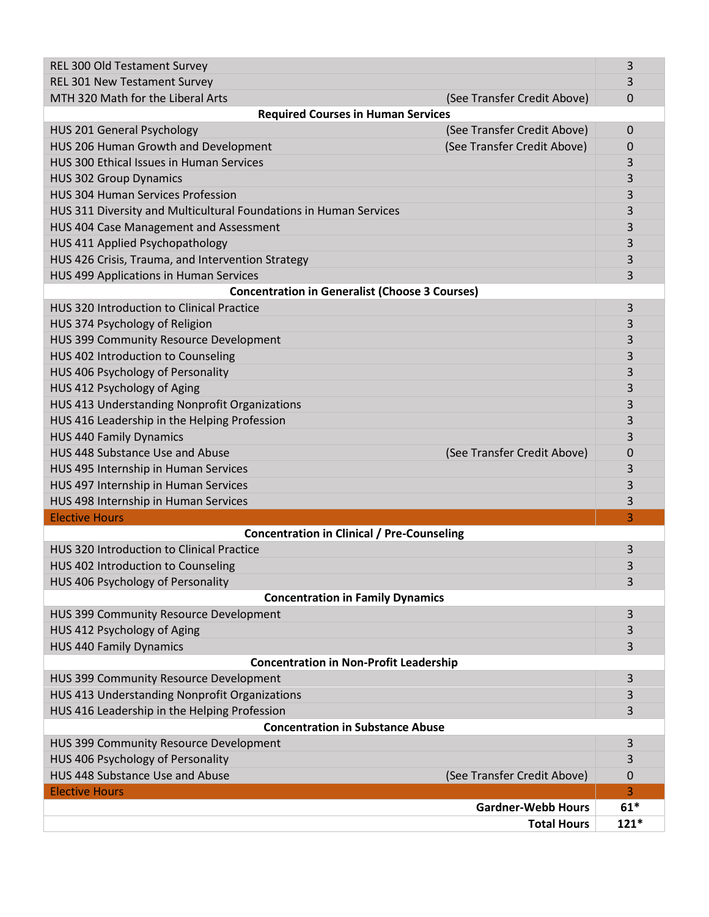| <b>Total Hours</b>                                                  | $121*$   |  |  |
|---------------------------------------------------------------------|----------|--|--|
| <b>Gardner-Webb Hours</b>                                           | $61*$    |  |  |
| <b>Elective Hours</b>                                               | 3        |  |  |
| HUS 448 Substance Use and Abuse<br>(See Transfer Credit Above)      | 0        |  |  |
| HUS 406 Psychology of Personality                                   | 3        |  |  |
| HUS 399 Community Resource Development<br>3                         |          |  |  |
| <b>Concentration in Substance Abuse</b>                             |          |  |  |
| HUS 416 Leadership in the Helping Profession                        | 3        |  |  |
| HUS 413 Understanding Nonprofit Organizations                       | 3        |  |  |
| HUS 399 Community Resource Development<br>3                         |          |  |  |
| <b>Concentration in Non-Profit Leadership</b>                       |          |  |  |
| <b>HUS 440 Family Dynamics</b>                                      | 3        |  |  |
| HUS 412 Psychology of Aging                                         | 3        |  |  |
| HUS 399 Community Resource Development                              | 3        |  |  |
| <b>Concentration in Family Dynamics</b>                             |          |  |  |
| HUS 406 Psychology of Personality                                   | 3        |  |  |
| HUS 402 Introduction to Counseling                                  | 3        |  |  |
| HUS 320 Introduction to Clinical Practice<br>3                      |          |  |  |
| <b>Concentration in Clinical / Pre-Counseling</b>                   |          |  |  |
| <b>Elective Hours</b>                                               | 3        |  |  |
| HUS 498 Internship in Human Services                                | 3        |  |  |
| HUS 497 Internship in Human Services                                | 3        |  |  |
| HUS 495 Internship in Human Services                                | 3        |  |  |
| HUS 448 Substance Use and Abuse<br>(See Transfer Credit Above)      | 0        |  |  |
| <b>HUS 440 Family Dynamics</b>                                      | 3        |  |  |
| HUS 416 Leadership in the Helping Profession                        | 3        |  |  |
| HUS 413 Understanding Nonprofit Organizations                       | 3        |  |  |
| HUS 412 Psychology of Aging                                         | 3        |  |  |
| HUS 406 Psychology of Personality                                   | 3        |  |  |
| HUS 402 Introduction to Counseling                                  | 3        |  |  |
| HUS 399 Community Resource Development                              | 3        |  |  |
| HUS 374 Psychology of Religion                                      | 3        |  |  |
| <b>HUS 320 Introduction to Clinical Practice</b><br>3               |          |  |  |
| <b>Concentration in Generalist (Choose 3 Courses)</b>               |          |  |  |
| HUS 499 Applications in Human Services                              | 3        |  |  |
| HUS 426 Crisis, Trauma, and Intervention Strategy                   | 3        |  |  |
| HUS 411 Applied Psychopathology                                     | 3        |  |  |
| HUS 404 Case Management and Assessment                              | 3        |  |  |
| HUS 311 Diversity and Multicultural Foundations in Human Services   | 3        |  |  |
| <b>HUS 304 Human Services Profession</b>                            | 3        |  |  |
| <b>HUS 302 Group Dynamics</b>                                       | 3        |  |  |
| HUS 300 Ethical Issues in Human Services                            | 3        |  |  |
| HUS 206 Human Growth and Development<br>(See Transfer Credit Above) | 0        |  |  |
| (See Transfer Credit Above)<br>HUS 201 General Psychology           | $\Omega$ |  |  |
| <b>Required Courses in Human Services</b>                           |          |  |  |
| MTH 320 Math for the Liberal Arts<br>(See Transfer Credit Above)    | 0        |  |  |
| REL 301 New Testament Survey                                        | 3        |  |  |
| REL 300 Old Testament Survey                                        | 3        |  |  |